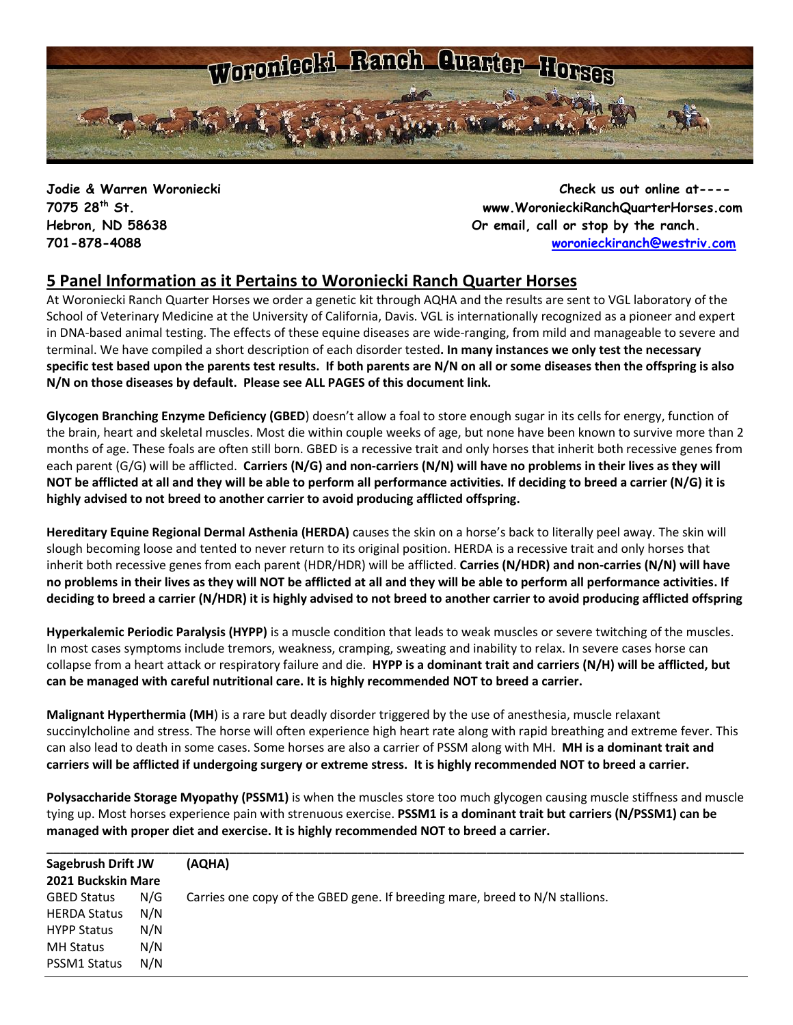

**Jodie & Warren Woroniecki Check us out online at---- 7075 28th St. www.WoronieckiRanchQuarterHorses.com Hebron, ND 58638 Or email, call or stop by the ranch. 701-878-4088 [woronieckiranch@westriv.com](mailto:woronieckiranch@westriv.com)**

## **5 Panel Information as it Pertains to Woroniecki Ranch Quarter Horses**

At Woroniecki Ranch Quarter Horses we order a genetic kit through AQHA and the results are sent to VGL laboratory of the School of Veterinary Medicine at the University of California, Davis. VGL is internationally recognized as a pioneer and expert in DNA-based animal testing. The [effects of these equine diseases](http://americashorsedaily.com/genetic-test-round-up) are wide-ranging, from mild and manageable to severe and terminal. We have compiled a short description of each disorder tested**. In many instances we only test the necessary specific test based upon the parents test results. If both parents are N/N on all or some diseases then the offspring is also N/N on those diseases by default. Please see ALL PAGES of this document link.**

**Glycogen Branching Enzyme Deficiency (GBED**) doesn't allow a foal to store enough sugar in its cells for energy, function of the brain, heart and skeletal muscles. Most die within couple weeks of age, but none have been known to survive more than 2 months of age. These foals are often still born. GBED is a recessive trait and only horses that inherit both recessive genes from each parent (G/G) will be afflicted. **Carriers (N/G) and non-carriers (N/N) will have no problems in their lives as they will NOT be afflicted at all and they will be able to perform all performance activities. If deciding to breed a carrier (N/G) it is highly advised to not breed to another carrier to avoid producing afflicted offspring.**

**Hereditary Equine Regional Dermal Asthenia (HERDA)** causes the skin on a horse's back to literally peel away. The skin will slough becoming loose and tented to never return to its original position. HERDA is a recessive trait and only horses that inherit both recessive genes from each parent (HDR/HDR) will be afflicted. **Carries (N/HDR) and non-carries (N/N) will have no problems in their lives as they will NOT be afflicted at all and they will be able to perform all performance activities. If deciding to breed a carrier (N/HDR) it is highly advised to not breed to another carrier to avoid producing afflicted offspring**

**Hyperkalemic Periodic Paralysis (HYPP)** is a muscle condition that leads to weak muscles or severe twitching of the muscles. In most cases symptoms include tremors, weakness, cramping, sweating and inability to relax. In severe cases horse can collapse from a heart attack or respiratory failure and die. **HYPP is a dominant trait and carriers (N/H) will be afflicted, but can be managed with careful nutritional care. It is highly recommended NOT to breed a carrier.**

**Malignant Hyperthermia (MH**) is a rare but deadly disorder triggered by the use of anesthesia, muscle relaxant succinylcholine and stress. The horse will often experience high heart rate along with rapid breathing and extreme fever. This can also lead to death in some cases. Some horses are also a carrier of PSSM along with MH. **MH is a dominant trait and carriers will be afflicted if undergoing surgery or extreme stress. It is highly recommended NOT to breed a carrier.** 

**Polysaccharide Storage Myopathy (PSSM1)** is when the muscles store too much glycogen causing muscle stiffness and muscle tying up. Most horses experience pain with strenuous exercise. **PSSM1 is a dominant trait but carriers (N/PSSM1) can be managed with proper diet and exercise. It is highly recommended NOT to breed a carrier.**

| <b>Sagebrush Drift JW</b><br>2021 Buckskin Mare |     | (AQHA)                                                                       |  |  |
|-------------------------------------------------|-----|------------------------------------------------------------------------------|--|--|
|                                                 |     |                                                                              |  |  |
| <b>GBED Status</b>                              | N/G | Carries one copy of the GBED gene. If breeding mare, breed to N/N stallions. |  |  |
| <b>HERDA Status</b>                             | N/N |                                                                              |  |  |
| <b>HYPP Status</b>                              | N/N |                                                                              |  |  |
| <b>MH Status</b>                                | N/N |                                                                              |  |  |
| PSSM1 Status                                    | N/N |                                                                              |  |  |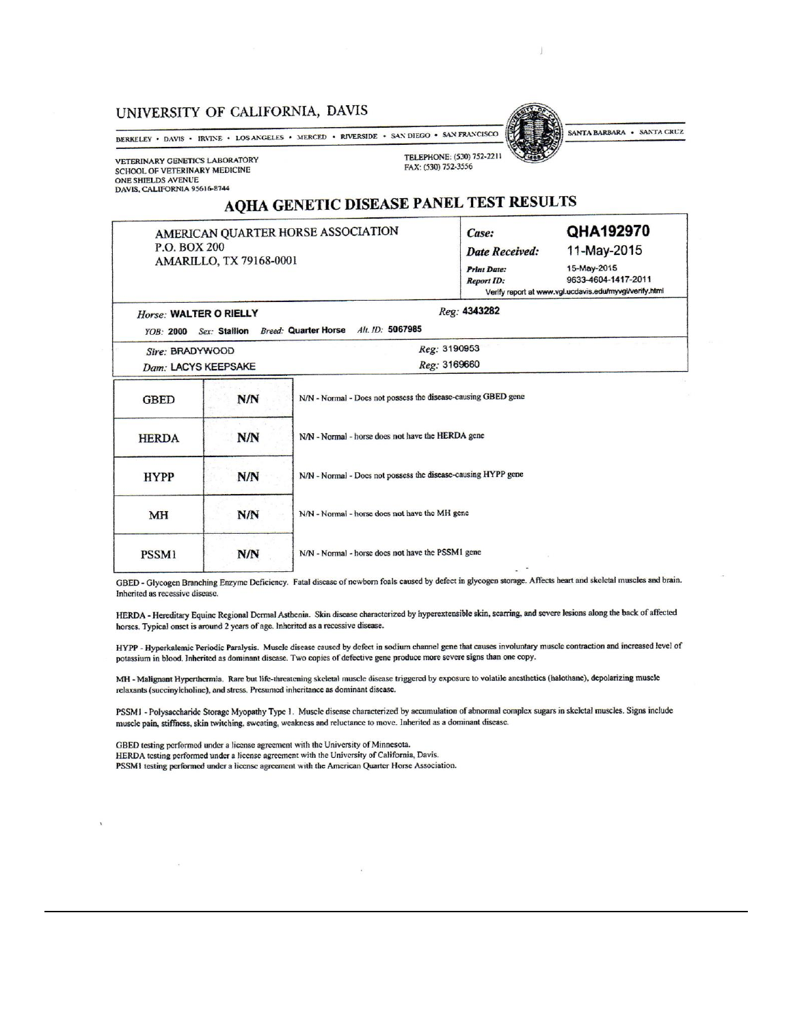#### UNIVERSITY OF CALIFORNIA, DAVIS

BERKELEY • DAVIS • IRVINE • LOS ANGELES • MERCED • RIVERSIDE • SAN DIEGO • SAN FRANCISCO

VETERINARY GENETICS LABORATORY SCHOOL OF VETERINARY MEDICINE ONE SHIELDS AVENUE<br>DAVIS, CALIFORNIA 95616-8744

 $U_{\text{oneo}}$ . WAI TER O RIFLLY

TELEPHONE: (530) 752-2211 FAX: (530) 752-3556

SANTA BARBARA . SANTA CRUZ

# AQHA GENETIC DISEASE PANEL TEST RESULTS

AMERICAN QUARTER HORSE ASSOCIATION P.O. BOX 200 AMARILLO, TX 79168-0001

| Case:                 | QHA192970           |
|-----------------------|---------------------|
| <b>Date Received:</b> | 11-May-2015         |
| <b>Print Date:</b>    | 15-May-2015         |
| <b>Report ID:</b>     | 9633-4604-1417-2011 |

011 Verify report at www.vgl.ucdavis.edu/myvgl/verify.html

Reg: 4343282

| 110150, 11110000<br>Sex: Stallion Breed: Quarter Horse Alt. ID: 5067985<br><b>YOB: 2000</b> |            |                                                               |  |  |  |  |
|---------------------------------------------------------------------------------------------|------------|---------------------------------------------------------------|--|--|--|--|
| Sire: BRADYWOOD<br>Dam: LACYS KEEPSAKE                                                      |            | Reg: 3190953<br>Reg: 3169660                                  |  |  |  |  |
| <b>GBED</b>                                                                                 | N/N        | N/N - Normal - Does not possess the disease-causing GBED gene |  |  |  |  |
| <b>HERDA</b>                                                                                | <b>N/N</b> | N/N - Normal - horse does not have the HERDA gene             |  |  |  |  |
| <b>HYPP</b>                                                                                 | N/N        | N/N - Normal - Docs not possess the disease-causing HYPP gene |  |  |  |  |
| <b>MH</b>                                                                                   | <b>N/N</b> | N/N - Normal - horse does not have the MH gene                |  |  |  |  |
| <b>PSSM1</b>                                                                                | N/N        | N/N - Normal - horse does not have the PSSM1 gene             |  |  |  |  |

GBED - Glycogen Branching Enzyme Deficiency. Fatal disease of newborn foals caused by defect in glycogen storage. Affects heart and skeletal muscles and brain. Inherited as recessive disease.

HERDA - Hereditary Equine Regional Dermal Asthenia. Skin disease characterized by hyperextensible skin, scarring, and severe lesions along the back of affected horses. Typical onset is around 2 years of age. Inherited as a recessive disease.

HYPP - Hyperkalemic Periodic Paralysis. Muscle disease caused by defect in sodium channel gene that causes involuntary muscle contraction and increased level of potassium in blood. Inherited as dominant disease. Two copies of defective gene produce more severe signs than one copy.

MH - Malignant Hyperthermia. Rare but life-threatening skeletal muscle disease triggered by exposure to volatile anesthetics (halothane), depolarizing muscle relaxants (succinylcholine), and stress. Presumed inheritance as dominant disease.

PSSM1 - Polysaccharide Storage Myopathy Type 1. Muscle disease characterized by accumulation of abnormal complex sugars in skeletal muscles. Signs include muscle pain, stiffness, skin twitching, sweating, weakness and reluctance to move. Inherited as a dominant disease.

GBED testing performed under a license agreement with the University of Minnesota. HERDA testing performed under a license agreement with the University of California, Davis. PSSM1 testing performed under a license agreement with the American Quarter Horse Association.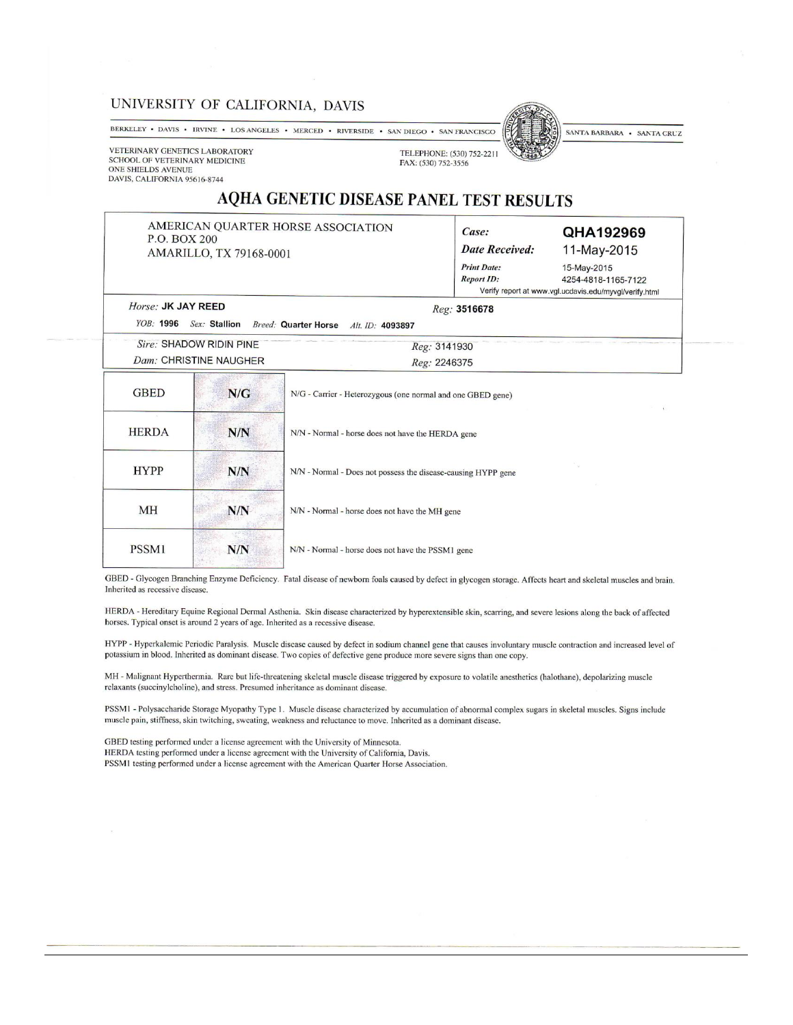#### UNIVERSITY OF CALIFORNIA, DAVIS

BERKELEY • DAVIS • IRVINE • LOS ANGELES • MERCED • RIVERSIDE • SAN DIEGO • SAN FRANCISCO

SANTA BARBARA . SANTA CRUZ

VETERINARY GENETICS LABORATORY SCHOOL OF VETERINARY MEDICINE ONE SHIELDS AVENUE DAVIS, CALIFORNIA 95616-8744

Horse: JK JAY REED

TELEPHONE: (530) 752-2211 FAX: (530) 752-3556

## AQHA GENETIC DISEASE PANEL TEST RESULTS

AMERICAN QUARTER HORSE ASSOCIATION P.O. BOX 200 AMARILLO, TX 79168-0001

**THREE** 

| QHA192969           |
|---------------------|
| 11-May-2015         |
| 15-May-2015         |
| 4254-4818-1165-7122 |
|                     |

Reg: 3516678 YOB: 1996 Sex: Stallion Breed: Quarter Horse Alt. ID: 4093897

| Sire: SHADOW RIDIN PINE | Reg: 3141930 |
|-------------------------|--------------|
| Dam: CHRISTINE NAUGHER  | Reg: 2246375 |

| <b>GBED</b>  | N/G | N/G - Carrier - Heterozygous (one normal and one GBED gene)   |
|--------------|-----|---------------------------------------------------------------|
| <b>HERDA</b> | N/N | N/N - Normal - horse does not have the HERDA gene             |
| <b>HYPP</b>  | N/N | N/N - Normal - Does not possess the disease-causing HYPP gene |
| <b>MH</b>    | N/N | N/N - Normal - horse does not have the MH gene                |
| PSSM1        | N/N | N/N - Normal - horse does not have the PSSM1 gene             |

GBED - Glycogen Branching Enzyme Deficiency. Fatal disease of newborn foals caused by defect in glycogen storage. Affects heart and skeletal muscles and brain. Inherited as recessive disease.

HERDA - Hereditary Equine Regional Dermal Asthenia. Skin disease characterized by hyperextensible skin, scarring, and severe lesions along the back of affected horses. Typical onset is around 2 years of age. Inherited as a recessive disease.

HYPP - Hyperkalemic Periodic Paralysis. Muscle disease caused by defect in sodium channel gene that causes involuntary muscle contraction and increased level of potassium in blood. Inherited as dominant disease. Two copies of defective gene produce more severe signs than one copy.

MH - Malignant Hyperthermia. Rare but life-threatening skeletal muscle disease triggered by exposure to volatile anesthetics (halothane), depolarizing muscle relaxants (succinylcholine), and stress. Presumed inheritance as dominant disease.

PSSM1 - Polysaccharide Storage Myopathy Type 1. Muscle disease characterized by accumulation of abnormal complex sugars in skeletal muscles. Signs include muscle pain, stiffness, skin twitching, sweating, weakness and reluctance to move. Inherited as a dominant disease.

GBED testing performed under a license agreement with the University of Minnesota. HERDA testing performed under a license agreement with the University of California, Davis. PSSM1 testing performed under a license agreement with the American Quarter Horse Association.